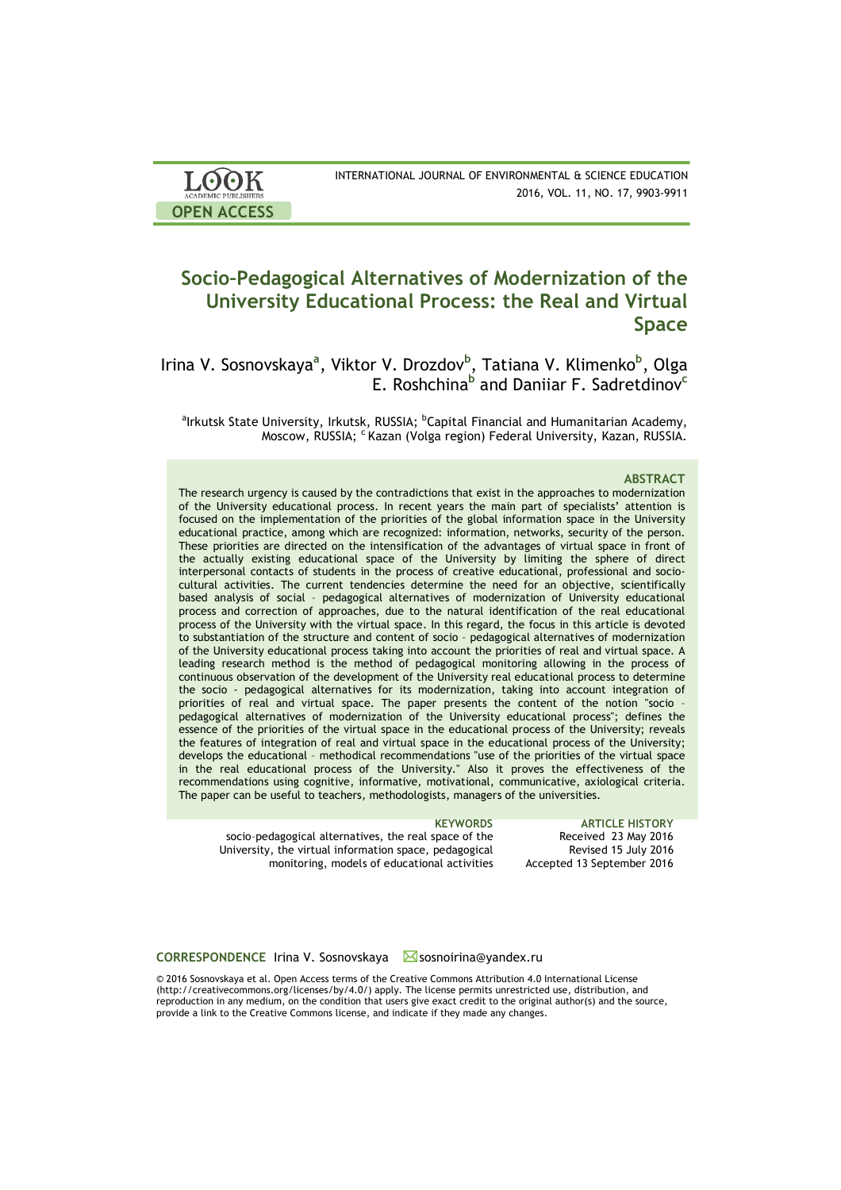| <b>LOOK</b>                | INTERNATIONAL JOURNAL OF ENVIRONMENTAL & SCIENCE EDUCATION |
|----------------------------|------------------------------------------------------------|
| <b>ACADEMIC PUBLISHERS</b> | 2016, VOL. 11, NO. 17, 9903-9911                           |
| <b>OPEN ACCESS</b>         |                                                            |

# **Socio–Pedagogical Alternatives of Modernization of the University Educational Process: the Real and Virtual Space**

Irina V. Sosnovskaya<sup>a</sup>, Viktor V. Drozdov<sup>b</sup>, Tatiana V. Klimenko<sup>b</sup>, Olga E. Roshchina**<sup>b</sup>** and Daniiar F. Sadretdinov**<sup>c</sup>**

 $^{\rm a}$ Irkutsk State University, Irkutsk, RUSSIA;  $^{\rm b}$ Capital Financial and Humanitarian Academy, Moscow, RUSSIA; <sup>c</sup> Kazan (Volga region) Federal University, Kazan, RUSSIA.

### **ABSTRACT**

The research urgency is caused by the contradictions that exist in the approaches to modernization of the University educational process. In recent years the main part of specialists' attention is focused on the implementation of the priorities of the global information space in the University educational practice, among which are recognized: information, networks, security of the person. These priorities are directed on the intensification of the advantages of virtual space in front of the actually existing educational space of the University by limiting the sphere of direct interpersonal contacts of students in the process of creative educational, professional and sociocultural activities. The current tendencies determine the need for an objective, scientifically based analysis of social – pedagogical alternatives of modernization of University educational process and correction of approaches, due to the natural identification of the real educational process of the University with the virtual space. In this regard, the focus in this article is devoted to substantiation of the structure and content of socio – pedagogical alternatives of modernization of the University educational process taking into account the priorities of real and virtual space. A leading research method is the method of pedagogical monitoring allowing in the process of continuous observation of the development of the University real educational process to determine the socio - pedagogical alternatives for its modernization, taking into account integration of priorities of real and virtual space. The paper presents the content of the notion "socio pedagogical alternatives of modernization of the University educational process"; defines the essence of the priorities of the virtual space in the educational process of the University; reveals the features of integration of real and virtual space in the educational process of the University; develops the educational – methodical recommendations "use of the priorities of the virtual space in the real educational process of the University." Also it proves the effectiveness of the recommendations using cognitive, informative, motivational, communicative, axiological criteria. The paper can be useful to teachers, methodologists, managers of the universities.

| <b>KEYWORDS</b>                                        | <b>ARTICLE HISTORY</b>     |
|--------------------------------------------------------|----------------------------|
| socio-pedagogical alternatives, the real space of the  | Received 23 May 2016       |
| University, the virtual information space, pedagogical | Revised 15 July 2016       |
| monitoring, models of educational activities           | Accepted 13 September 2016 |

**CORRESPONDENCE** Irina V. Sosnovskaya Sosnoirina@yandex.ru

© 2016 Sosnovskaya et al. Open Access terms of the Creative Commons Attribution 4.0 International License (http://creativecommons.org/licenses/by/4.0/) apply. The license permits unrestricted use, distribution, and reproduction in any medium, on the condition that users give exact credit to the original author(s) and the source, provide a link to the Creative Commons license, and indicate if they made any changes.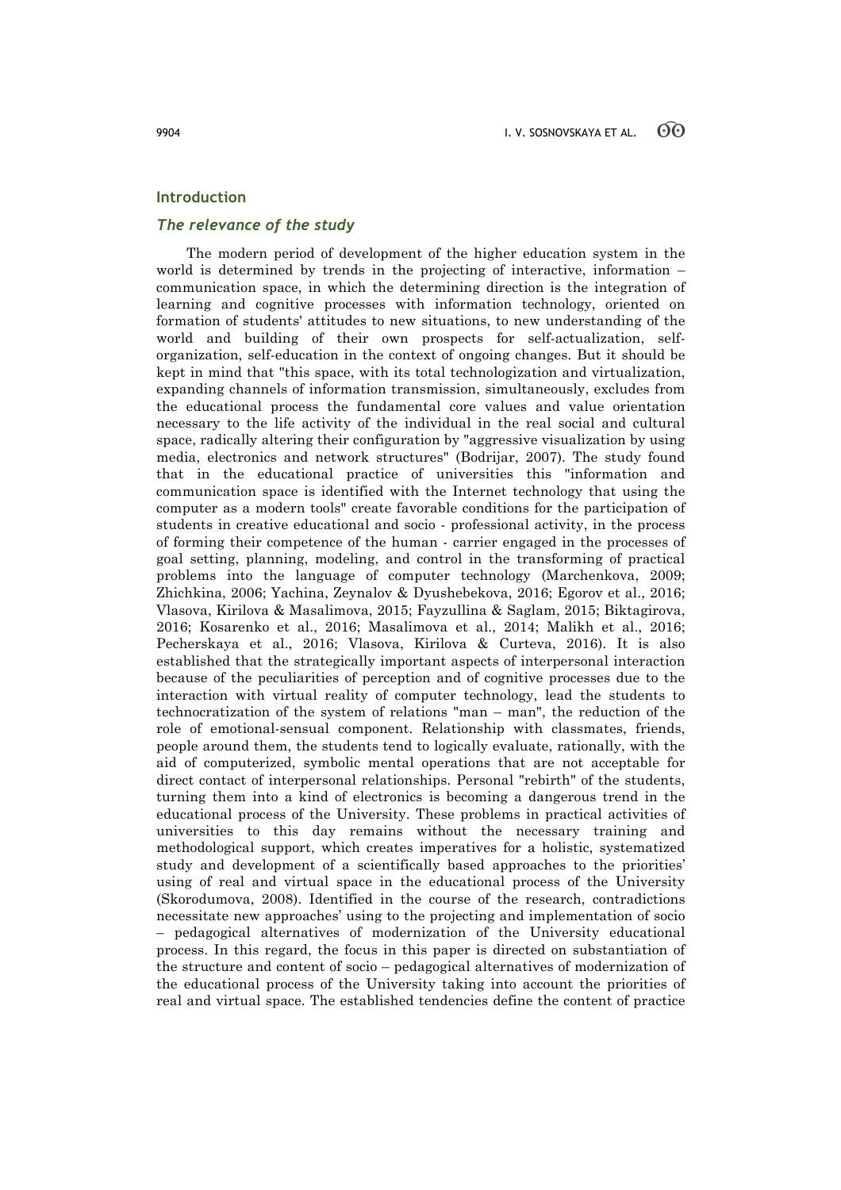## **Introduction**

## *The relevance of the study*

The modern period of development of the higher education system in the world is determined by trends in the projecting of interactive, information – communication space, in which the determining direction is the integration of learning and cognitive processes with information technology, oriented on formation of students' attitudes to new situations, to new understanding of the world and building of their own prospects for self-actualization, selforganization, self-education in the context of ongoing changes. But it should be kept in mind that "this space, with its total technologization and virtualization, expanding channels of information transmission, simultaneously, excludes from the educational process the fundamental core values and value orientation necessary to the life activity of the individual in the real social and cultural space, radically altering their configuration by "aggressive visualization by using media, electronics and network structures" (Bodrijar, 2007). The study found that in the educational practice of universities this "information and communication space is identified with the Internet technology that using the computer as a modern tools" create favorable conditions for the participation of students in creative educational and socio - professional activity, in the process of forming their competence of the human - carrier engaged in the processes of goal setting, planning, modeling, and control in the transforming of practical problems into the language of computer technology (Marchenkova, 2009; Zhichkina, 2006; Yachina, Zeynalov & Dyushebekova, 2016; Egorov et al., 2016; Vlasova, Kirilova & Masalimova, 2015; Fayzullina & Saglam, 2015; Biktagirova, 2016; Kosarenko et al., 2016; Masalimova et al., 2014; Malikh et al., 2016; Pecherskaya et al., 2016; Vlasova, Kirilova & Curteva, 2016). It is also established that the strategically important aspects of interpersonal interaction because of the peculiarities of perception and of cognitive processes due to the interaction with virtual reality of computer technology, lead the students to technocratization of the system of relations "man – man", the reduction of the role of emotional-sensual component. Relationship with classmates, friends, people around them, the students tend to logically evaluate, rationally, with the aid of computerized, symbolic mental operations that are not acceptable for direct contact of interpersonal relationships. Personal "rebirth" of the students, turning them into a kind of electronics is becoming a dangerous trend in the educational process of the University. These problems in practical activities of universities to this day remains without the necessary training and methodological support, which creates imperatives for a holistic, systematized study and development of a scientifically based approaches to the priorities' using of real and virtual space in the educational process of the University (Skorodumova, 2008). Identified in the course of the research, contradictions necessitate new approaches' using to the projecting and implementation of socio – pedagogical alternatives of modernization of the University educational process. In this regard, the focus in this paper is directed on substantiation of the structure and content of socio – pedagogical alternatives of modernization of the educational process of the University taking into account the priorities of real and virtual space. The established tendencies define the content of practice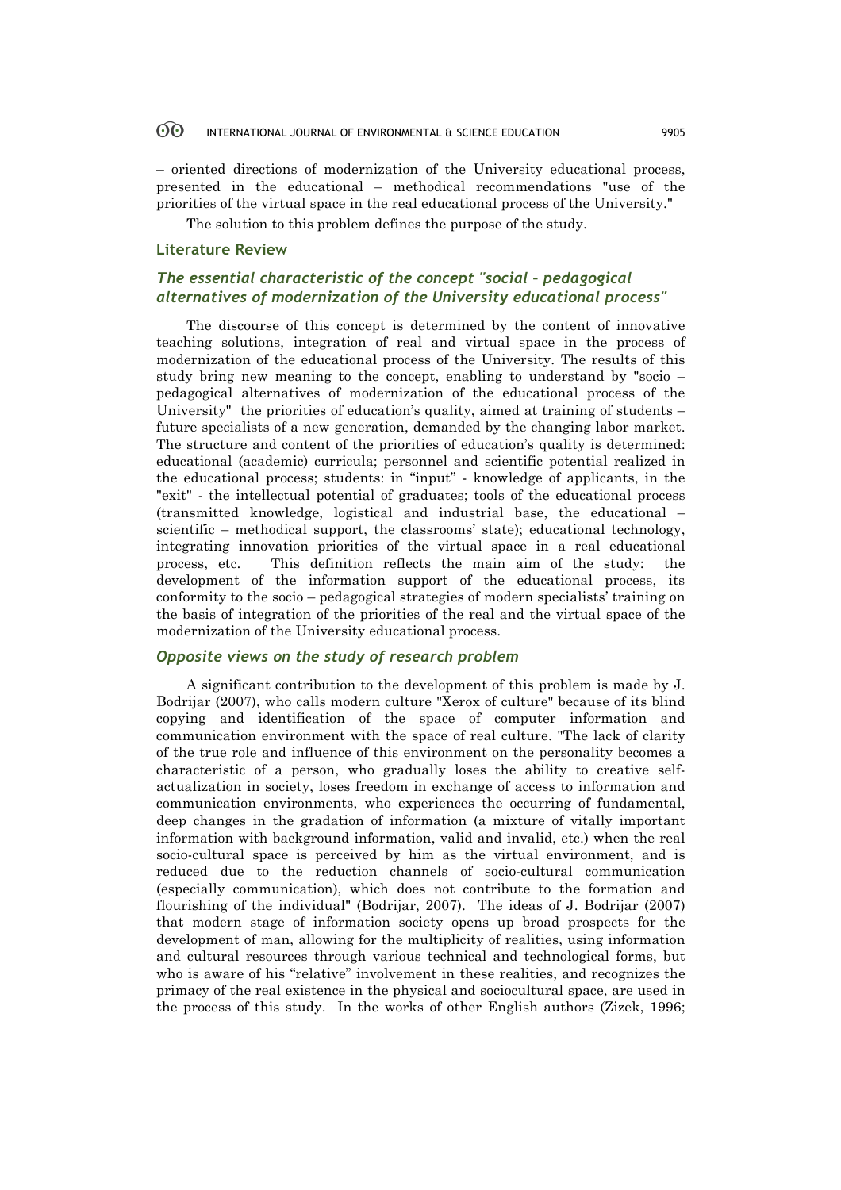#### 60 INTERNATIONAL JOURNAL OF ENVIRONMENTAL & SCIENCE EDUCATION 9905

– oriented directions of modernization of the University educational process, presented in the educational – methodical recommendations "use of the priorities of the virtual space in the real educational process of the University."

The solution to this problem defines the purpose of the study.

## **Literature Review**

## *The essential characteristic of the concept "social – pedagogical alternatives of modernization of the University educational process"*

The discourse of this concept is determined by the content of innovative teaching solutions, integration of real and virtual space in the process of modernization of the educational process of the University. The results of this study bring new meaning to the concept, enabling to understand by "socio – pedagogical alternatives of modernization of the educational process of the University" the priorities of education's quality, aimed at training of students – future specialists of a new generation, demanded by the changing labor market. The structure and content of the priorities of education's quality is determined: educational (academic) curricula; personnel and scientific potential realized in the educational process; students: in "input" - knowledge of applicants, in the "exit" - the intellectual potential of graduates; tools of the educational process (transmitted knowledge, logistical and industrial base, the educational – scientific – methodical support, the classrooms' state); educational technology, integrating innovation priorities of the virtual space in a real educational process, etc. This definition reflects the main aim of the study: the development of the information support of the educational process, its conformity to the socio – pedagogical strategies of modern specialists' training on the basis of integration of the priorities of the real and the virtual space of the modernization of the University educational process.

## *Opposite views on the study of research problem*

A significant contribution to the development of this problem is made by J. Bodrijar (2007), who calls modern culture "Xerox of culture" because of its blind copying and identification of the space of computer information and communication environment with the space of real culture. "The lack of clarity of the true role and influence of this environment on the personality becomes a characteristic of a person, who gradually loses the ability to creative selfactualization in society, loses freedom in exchange of access to information and communication environments, who experiences the occurring of fundamental, deep changes in the gradation of information (a mixture of vitally important information with background information, valid and invalid, etc.) when the real socio-cultural space is perceived by him as the virtual environment, and is reduced due to the reduction channels of socio-cultural communication (especially communication), which does not contribute to the formation and flourishing of the individual" (Bodrijar, 2007). The ideas of J. Bodrijar (2007) that modern stage of information society opens up broad prospects for the development of man, allowing for the multiplicity of realities, using information and cultural resources through various technical and technological forms, but who is aware of his "relative" involvement in these realities, and recognizes the primacy of the real existence in the physical and sociocultural space, are used in the process of this study. In the works of other English authors (Zizek, 1996;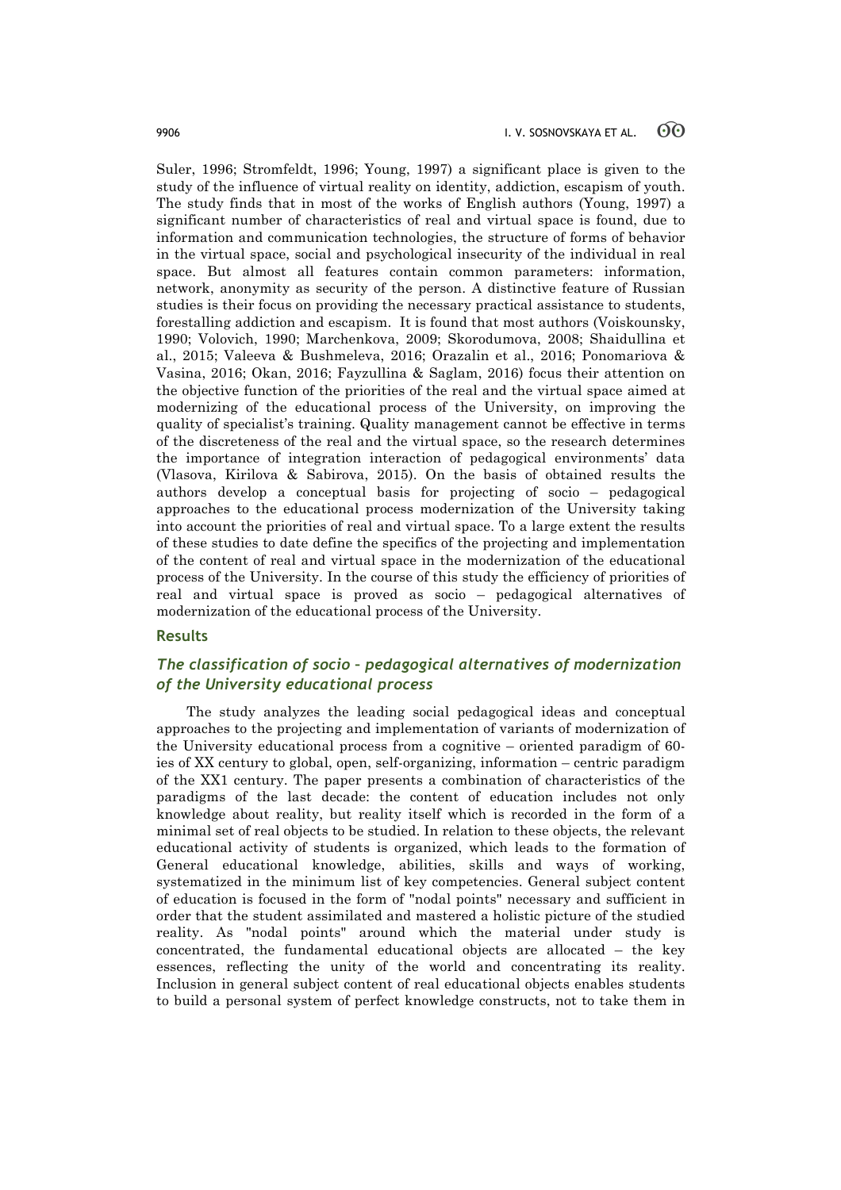Suler, 1996; Stromfeldt, 1996; Young, 1997) a significant place is given to the study of the influence of virtual reality on identity, addiction, escapism of youth. The study finds that in most of the works of English authors (Young, 1997) a significant number of characteristics of real and virtual space is found, due to information and communication technologies, the structure of forms of behavior in the virtual space, social and psychological insecurity of the individual in real space. But almost all features contain common parameters: information, network, anonymity as security of the person. A distinctive feature of Russian studies is their focus on providing the necessary practical assistance to students, forestalling addiction and escapism. It is found that most authors (Voiskounsky, 1990; Volovich, 1990; Marchenkova, 2009; Skorodumova, 2008; Shaidullina et al., 2015; Valeeva & Bushmeleva, 2016; Orazalin et al., 2016; Ponomariova & Vasinа, 2016; Okan, 2016; Fayzullina & Saglam, 2016) focus their attention on the objective function of the priorities of the real and the virtual space aimed at modernizing of the educational process of the University, on improving the quality of specialist's training. Quality management cannot be effective in terms of the discreteness of the real and the virtual space, so the research determines the importance of integration interaction of pedagogical environments' data (Vlasova, Kirilova & Sabirova, 2015). On the basis of obtained results the authors develop a conceptual basis for projecting of socio – pedagogical approaches to the educational process modernization of the University taking into account the priorities of real and virtual space. To a large extent the results of these studies to date define the specifics of the projecting and implementation of the content of real and virtual space in the modernization of the educational process of the University. In the course of this study the efficiency of priorities of real and virtual space is proved as socio – pedagogical alternatives of modernization of the educational process of the University.

## **Results**

## *The classification of socio – pedagogical alternatives of modernization of the University educational process*

The study analyzes the leading social pedagogical ideas and conceptual approaches to the projecting and implementation of variants of modernization of the University educational process from a cognitive – oriented paradigm of 60 ies of XX century to global, open, self-organizing, information – centric paradigm of the XX1 century. The paper presents a combination of characteristics of the paradigms of the last decade: the content of education includes not only knowledge about reality, but reality itself which is recorded in the form of a minimal set of real objects to be studied. In relation to these objects, the relevant educational activity of students is organized, which leads to the formation of General educational knowledge, abilities, skills and ways of working, systematized in the minimum list of key competencies. General subject content of education is focused in the form of "nodal points" necessary and sufficient in order that the student assimilated and mastered a holistic picture of the studied reality. As "nodal points" around which the material under study is concentrated, the fundamental educational objects are allocated – the key essences, reflecting the unity of the world and concentrating its reality. Inclusion in general subject content of real educational objects enables students to build a personal system of perfect knowledge constructs, not to take them in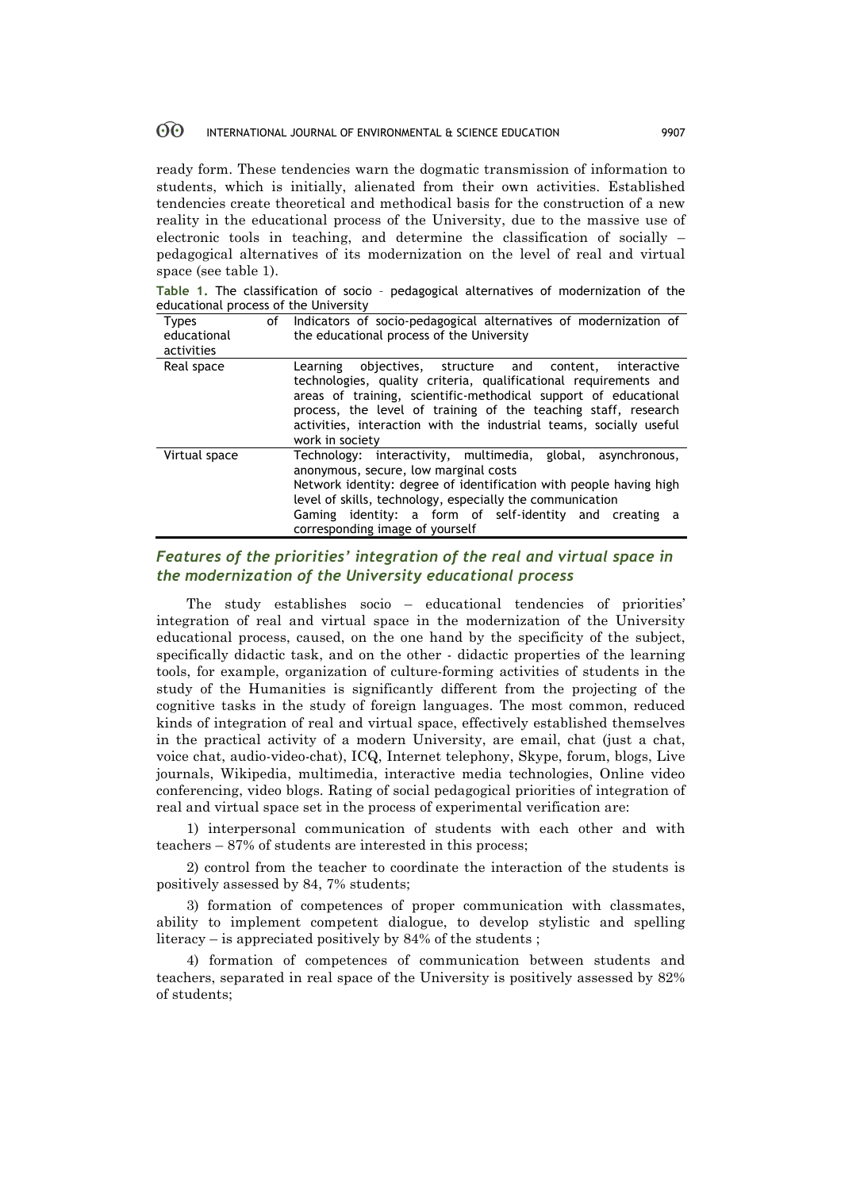#### 60 INTERNATIONAL JOURNAL OF ENVIRONMENTAL & SCIENCE EDUCATION 9907

ready form. These tendencies warn the dogmatic transmission of information to students, which is initially, alienated from their own activities. Established tendencies create theoretical and methodical basis for the construction of a new reality in the educational process of the University, due to the massive use of electronic tools in teaching, and determine the classification of socially – pedagogical alternatives of its modernization on the level of real and virtual space (see table 1).

**Table 1.** The classification of socio – pedagogical alternatives of modernization of the educational process of the University

| <b>Types</b><br>educational<br>activities | οf | Indicators of socio-pedagogical alternatives of modernization of<br>the educational process of the University                                                                                                                                                                                                                                                |
|-------------------------------------------|----|--------------------------------------------------------------------------------------------------------------------------------------------------------------------------------------------------------------------------------------------------------------------------------------------------------------------------------------------------------------|
| Real space                                |    | objectives, structure and content, interactive<br>Learning<br>technologies, quality criteria, qualificational requirements and<br>areas of training, scientific-methodical support of educational<br>process, the level of training of the teaching staff, research<br>activities, interaction with the industrial teams, socially useful<br>work in society |
| Virtual space                             |    | Technology: interactivity, multimedia, global,<br>asynchronous.<br>anonymous, secure, low marginal costs<br>Network identity: degree of identification with people having high<br>level of skills, technology, especially the communication<br>Gaming identity: a form of self-identity and creating a<br>corresponding image of yourself                    |

## *Features of the priorities' integration of the real and virtual space in the modernization of the University educational process*

The study establishes socio – educational tendencies of priorities' integration of real and virtual space in the modernization of the University educational process, caused, on the one hand by the specificity of the subject, specifically didactic task, and on the other - didactic properties of the learning tools, for example, organization of culture-forming activities of students in the study of the Humanities is significantly different from the projecting of the cognitive tasks in the study of foreign languages. The most common, reduced kinds of integration of real and virtual space, effectively established themselves in the practical activity of a modern University, are email, chat (just a chat, voice chat, audio-video-chat), ICQ, Internet telephony, Skype, forum, blogs, Live journals, Wikipedia, multimedia, interactive media technologies, Online video conferencing, video blogs. Rating of social pedagogical priorities of integration of real and virtual space set in the process of experimental verification are:

1) interpersonal communication of students with each other and with teachers – 87% of students are interested in this process;

2) control from the teacher to coordinate the interaction of the students is positively assessed by 84, 7% students;

3) formation of competences of proper communication with classmates, ability to implement competent dialogue, to develop stylistic and spelling literacy – is appreciated positively by 84% of the students ;

4) formation of competences of communication between students and teachers, separated in real space of the University is positively assessed by 82% of students;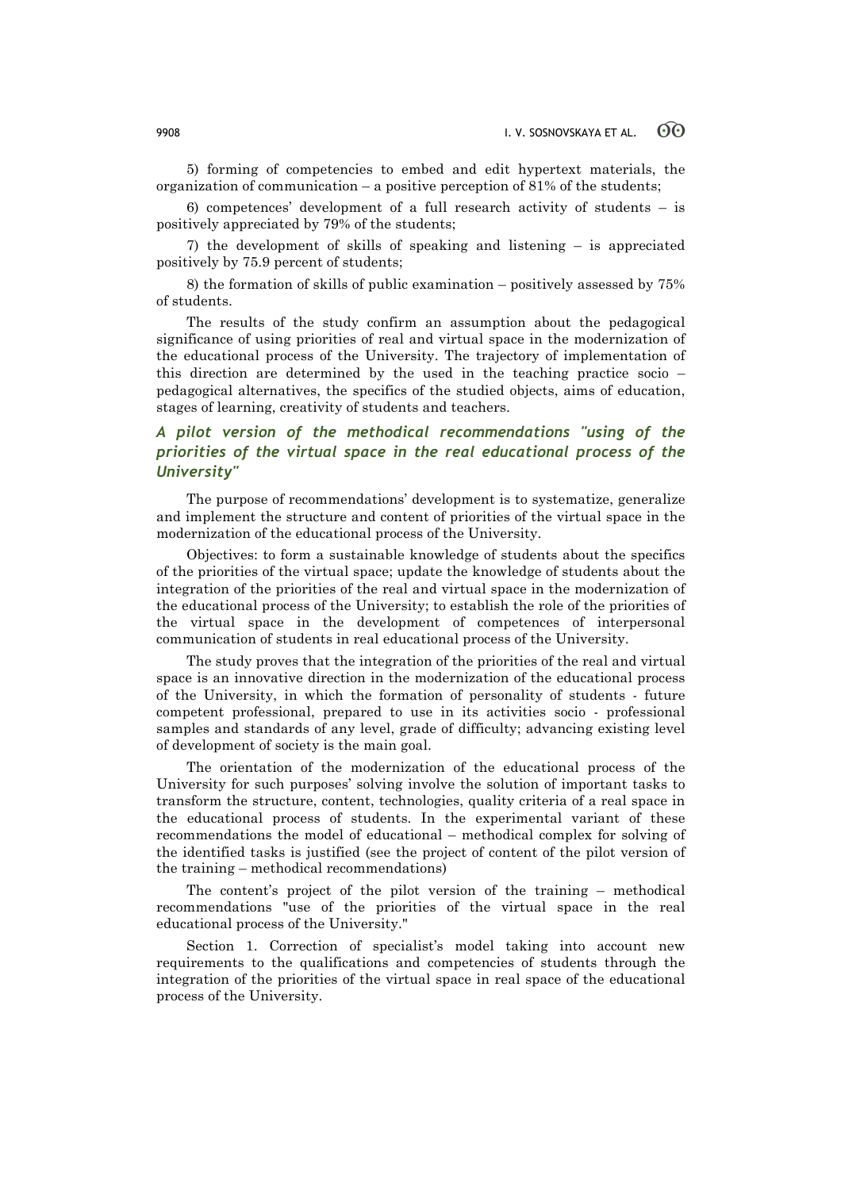5) forming of competencies to embed and edit hypertext materials, the organization of communication – a positive perception of 81% of the students;

6) competences' development of a full research activity of students – is positively appreciated by 79% of the students;

7) the development of skills of speaking and listening – is appreciated positively by 75.9 percent of students;

8) the formation of skills of public examination – positively assessed by 75% of students.

The results of the study confirm an assumption about the pedagogical significance of using priorities of real and virtual space in the modernization of the educational process of the University. The trajectory of implementation of this direction are determined by the used in the teaching practice socio – pedagogical alternatives, the specifics of the studied objects, aims of education, stages of learning, creativity of students and teachers.

## *A pilot version of the methodical recommendations "using of the priorities of the virtual space in the real educational process of the University"*

The purpose of recommendations' development is to systematize, generalize and implement the structure and content of priorities of the virtual space in the modernization of the educational process of the University.

Objectives: to form a sustainable knowledge of students about the specifics of the priorities of the virtual space; update the knowledge of students about the integration of the priorities of the real and virtual space in the modernization of the educational process of the University; to establish the role of the priorities of the virtual space in the development of competences of interpersonal communication of students in real educational process of the University.

The study proves that the integration of the priorities of the real and virtual space is an innovative direction in the modernization of the educational process of the University, in which the formation of personality of students - future competent professional, prepared to use in its activities socio - professional samples and standards of any level, grade of difficulty; advancing existing level of development of society is the main goal.

The orientation of the modernization of the educational process of the University for such purposes' solving involve the solution of important tasks to transform the structure, content, technologies, quality criteria of a real space in the educational process of students. In the experimental variant of these recommendations the model of educational – methodical complex for solving of the identified tasks is justified (see the project of content of the pilot version of the training – methodical recommendations)

The content's project of the pilot version of the training – methodical recommendations "use of the priorities of the virtual space in the real educational process of the University."

Section 1. Correction of specialist's model taking into account new requirements to the qualifications and competencies of students through the integration of the priorities of the virtual space in real space of the educational process of the University.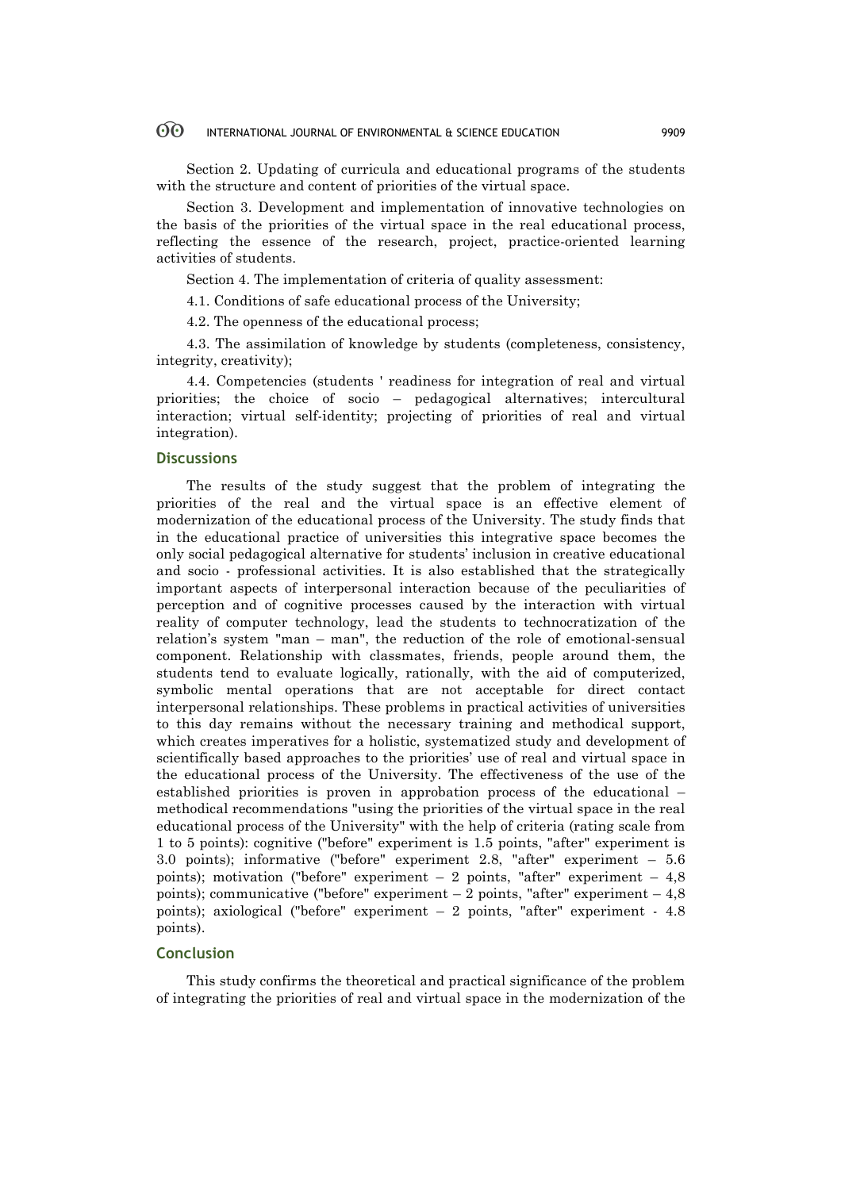#### $\odot$ INTERNATIONAL JOURNAL OF ENVIRONMENTAL & SCIENCE EDUCATION 9909

Section 2. Updating of curricula and educational programs of the students with the structure and content of priorities of the virtual space.

Section 3. Development and implementation of innovative technologies on the basis of the priorities of the virtual space in the real educational process, reflecting the essence of the research, project, practice-oriented learning activities of students.

Section 4. The implementation of criteria of quality assessment:

4.1. Conditions of safe educational process of the University;

4.2. The openness of the educational process;

4.3. The assimilation of knowledge by students (completeness, consistency, integrity, creativity);

4.4. Competencies (students ' readiness for integration of real and virtual priorities; the choice of socio – pedagogical alternatives; intercultural interaction; virtual self-identity; projecting of priorities of real and virtual integration).

## **Discussions**

The results of the study suggest that the problem of integrating the priorities of the real and the virtual space is an effective element of modernization of the educational process of the University. The study finds that in the educational practice of universities this integrative space becomes the only social pedagogical alternative for students' inclusion in creative educational and socio - professional activities. It is also established that the strategically important aspects of interpersonal interaction because of the peculiarities of perception and of cognitive processes caused by the interaction with virtual reality of computer technology, lead the students to technocratization of the relation's system "man – man", the reduction of the role of emotional-sensual component. Relationship with classmates, friends, people around them, the students tend to evaluate logically, rationally, with the aid of computerized, symbolic mental operations that are not acceptable for direct contact interpersonal relationships. These problems in practical activities of universities to this day remains without the necessary training and methodical support, which creates imperatives for a holistic, systematized study and development of scientifically based approaches to the priorities' use of real and virtual space in the educational process of the University. The effectiveness of the use of the established priorities is proven in approbation process of the educational – methodical recommendations "using the priorities of the virtual space in the real educational process of the University" with the help of criteria (rating scale from 1 to 5 points): cognitive ("before" experiment is 1.5 points, "after" experiment is 3.0 points); informative ("before" experiment 2.8, "after" experiment – 5.6 points); motivation ("before" experiment  $-2$  points, "after" experiment  $-4,8$ points); communicative ("before" experiment  $-2$  points, "after" experiment  $-4,8$ points); axiological ("before" experiment – 2 points, "after" experiment - 4.8 points).

## **Conclusion**

This study confirms the theoretical and practical significance of the problem of integrating the priorities of real and virtual space in the modernization of the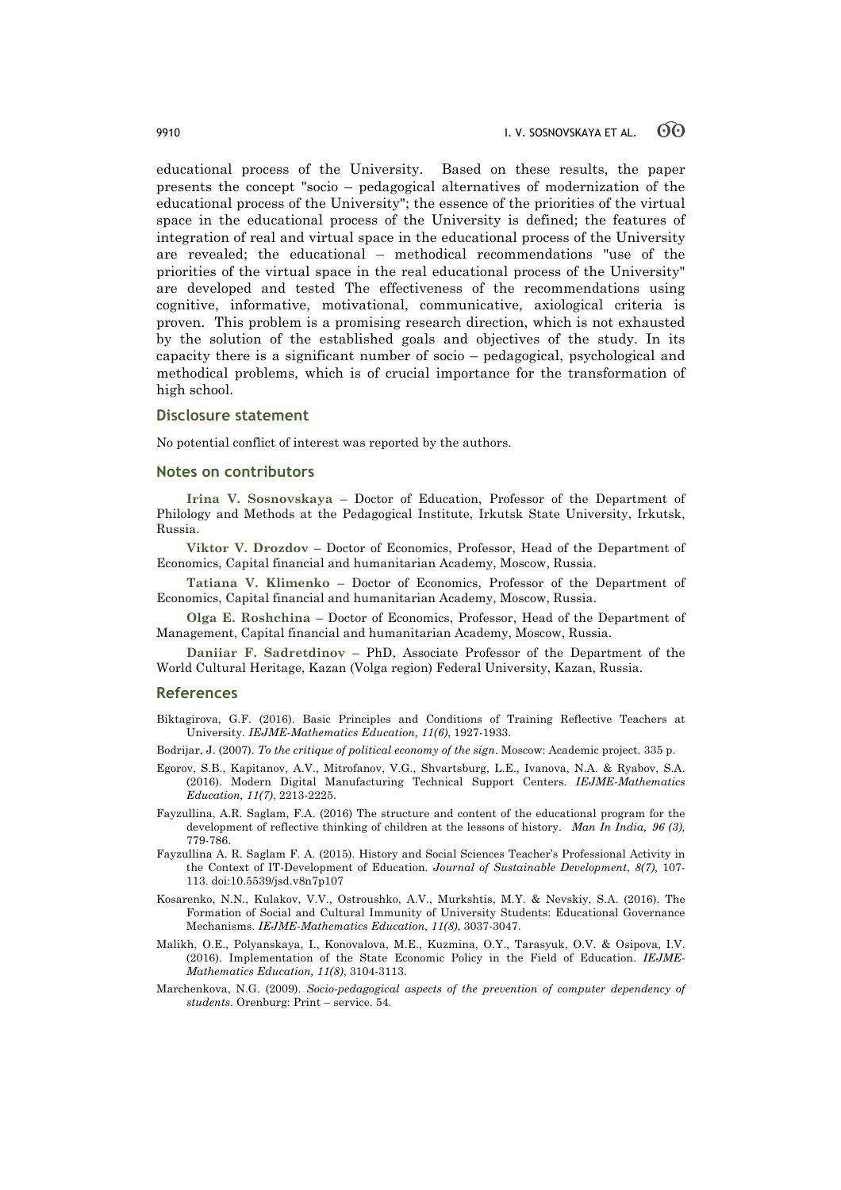educational process of the University. Based on these results, the paper presents the concept "socio – pedagogical alternatives of modernization of the educational process of the University"; the essence of the priorities of the virtual space in the educational process of the University is defined; the features of integration of real and virtual space in the educational process of the University are revealed; the educational – methodical recommendations "use of the priorities of the virtual space in the real educational process of the University" are developed and tested The effectiveness of the recommendations using cognitive, informative, motivational, communicative, axiological criteria is proven. This problem is a promising research direction, which is not exhausted by the solution of the established goals and objectives of the study. In its capacity there is a significant number of socio – pedagogical, psychological and methodical problems, which is of crucial importance for the transformation of high school.

### **Disclosure statement**

No potential conflict of interest was reported by the authors.

## **Notes on contributors**

**Irina V. Sosnovskaya** – Doctor of Education, Professor of the Department of Philology and Methods at the Pedagogical Institute, Irkutsk State University, Irkutsk, Russia.

**Viktor V. Drozdov** – Doctor of Economics, Professor, Head of the Department of Economics, Capital financial and humanitarian Academy, Moscow, Russia.

**Tatiana V. Klimenko** – Doctor of Economics, Professor of the Department of Economics, Capital financial and humanitarian Academy, Moscow, Russia.

**Olga E. Roshchina** – Doctor of Economics, Professor, Head of the Department of Management, Capital financial and humanitarian Academy, Moscow, Russia.

**Daniiar F. Sadretdinov** – PhD, Associate Professor of the Department of the World Cultural Heritage, Kazan (Volga region) Federal University, Kazan, Russia.

### **References**

- Biktagirova, G.F. (2016). Basic Principles and Conditions of Training Reflective Teachers at University. *IEJME-Mathematics Education, 11(6)*, 1927-1933.
- Bodrijar, J. (2007). *To the critique of political economy of the sign*. Moscow: Academic project. 335 p.
- Egorov, S.B., Kapitanov, A.V., Mitrofanov, V.G., Shvartsburg, L.E., Ivanova, N.A. & Ryabov, S.A. (2016). Modern Digital Manufacturing Technical Support Centers. *IEJME-Mathematics Education, 11(7)*, 2213-2225.
- Fayzullina, A.R. Saglam, F.A. (2016) The structure and content of the educational program for the development of reflective thinking of children at the lessons of history. *Man In India, 96 (3),* 779-786.
- Fayzullina A. R. Saglam F. A. (2015). History and Social Sciences Teacher's Professional Activity in the Context of IT-Development of Education*. Journal of Sustainable Development*, *8(7),* 107- 113. doi:10.5539/jsd.v8n7p107
- Kosarenko, N.N., Kulakov, V.V., Ostroushko, A.V., Murkshtis, M.Y. & Nevskiy, S.A. (2016). The Formation of Social and Cultural Immunity of University Students: Educational Governance Mechanisms. *IEJME-Mathematics Education, 11(8)*, 3037-3047.
- Malikh, O.E., Polyanskaya, I., Konovalova, M.E., Kuzmina, O.Y., Tarasyuk, O.V. & Osipova, I.V. (2016). Implementation of the State Economic Policy in the Field of Education. *IEJME-Mathematics Education, 11(8)*, 3104-3113.
- Marchenkova, N.G. (2009). *Socio-pedagogical aspects of the prevention of computer dependency of students*. Orenburg: Print – service. 54.